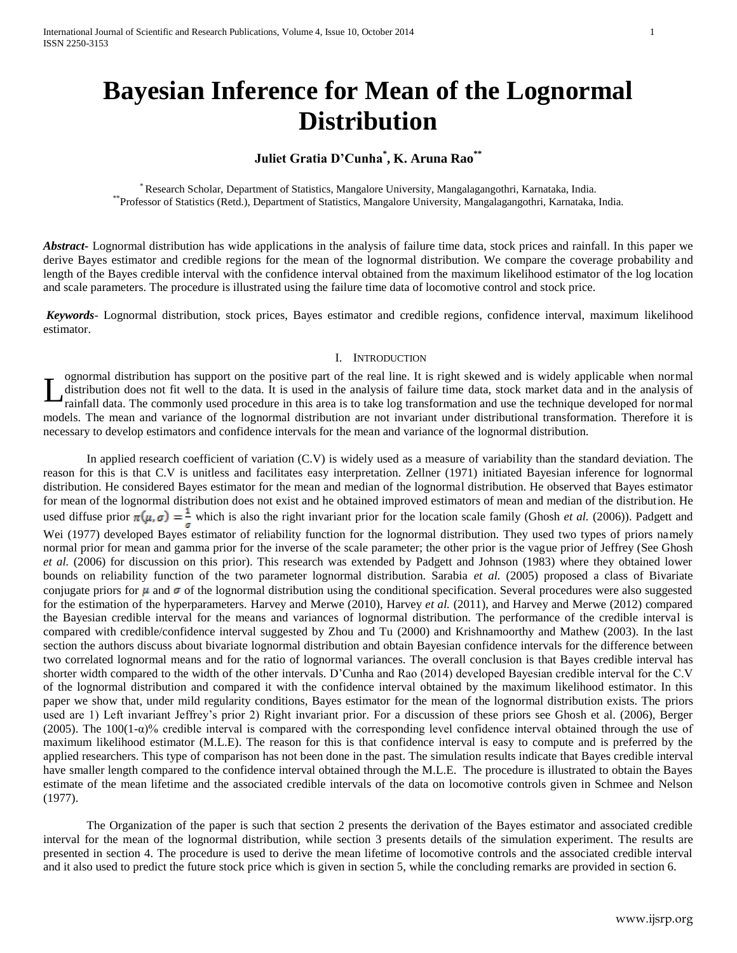# **Bayesian Inference for Mean of the Lognormal Distribution**

# **Juliet Gratia D'Cunha\* , K. Aruna Rao\*\***

\* Research Scholar, Department of Statistics, Mangalore University, Mangalagangothri, Karnataka, India. \*\*Professor of Statistics (Retd.), Department of Statistics, Mangalore University, Mangalagangothri, Karnataka, India.

*Abstract***-** Lognormal distribution has wide applications in the analysis of failure time data, stock prices and rainfall. In this paper we derive Bayes estimator and credible regions for the mean of the lognormal distribution. We compare the coverage probability and length of the Bayes credible interval with the confidence interval obtained from the maximum likelihood estimator of the log location and scale parameters. The procedure is illustrated using the failure time data of locomotive control and stock price.

*Keywords*- Lognormal distribution, stock prices, Bayes estimator and credible regions, confidence interval, maximum likelihood estimator.

## I. INTRODUCTION

ognormal distribution has support on the positive part of the real line. It is right skewed and is widely applicable when normal distribution does not fit well to the data. It is used in the analysis of failure time data, stock market data and in the analysis of rainfall data. The commonly used procedure in this area is to take log transformation and use the technique developed for normal models. The mean and variance of the lognormal distribution are not invariant under distributional transformation. Therefore it is necessary to develop estimators and confidence intervals for the mean and variance of the lognormal distribution. L

In applied research coefficient of variation (C.V) is widely used as a measure of variability than the standard deviation. The reason for this is that C.V is unitless and facilitates easy interpretation. Zellner (1971) initiated Bayesian inference for lognormal distribution. He considered Bayes estimator for the mean and median of the lognormal distribution. He observed that Bayes estimator for mean of the lognormal distribution does not exist and he obtained improved estimators of mean and median of the distribution. He used diffuse prior  $\pi(\mu, \sigma) = \frac{1}{\sigma}$  which is also the right invariant prior for the location scale family (Ghosh *et al.* (2006)). Padgett and Wei (1977) developed Bayes estimator of reliability function for the lognormal distribution. They used two types of priors namely normal prior for mean and gamma prior for the inverse of the scale parameter; the other prior is the vague prior of Jeffrey (See Ghosh *et al.* (2006) for discussion on this prior). This research was extended by Padgett and Johnson (1983) where they obtained lower bounds on reliability function of the two parameter lognormal distribution. Sarabia *et al.* (2005) proposed a class of Bivariate conjugate priors for  $\mu$  and  $\sigma$  of the lognormal distribution using the conditional specification. Several procedures were also suggested for the estimation of the hyperparameters. Harvey and Merwe (2010), Harvey *et al.* (2011), and Harvey and Merwe (2012) compared the Bayesian credible interval for the means and variances of lognormal distribution. The performance of the credible interval is compared with credible/confidence interval suggested by Zhou and Tu (2000) and Krishnamoorthy and Mathew (2003). In the last section the authors discuss about bivariate lognormal distribution and obtain Bayesian confidence intervals for the difference between two correlated lognormal means and for the ratio of lognormal variances. The overall conclusion is that Bayes credible interval has shorter width compared to the width of the other intervals. D'Cunha and Rao (2014) developed Bayesian credible interval for the C.V of the lognormal distribution and compared it with the confidence interval obtained by the maximum likelihood estimator. In this paper we show that, under mild regularity conditions, Bayes estimator for the mean of the lognormal distribution exists. The priors used are 1) Left invariant Jeffrey's prior 2) Right invariant prior. For a discussion of these priors see Ghosh et al. (2006), Berger (2005). The 100(1-α)% credible interval is compared with the corresponding level confidence interval obtained through the use of maximum likelihood estimator (M.L.E). The reason for this is that confidence interval is easy to compute and is preferred by the applied researchers. This type of comparison has not been done in the past. The simulation results indicate that Bayes credible interval have smaller length compared to the confidence interval obtained through the M.L.E. The procedure is illustrated to obtain the Bayes estimate of the mean lifetime and the associated credible intervals of the data on locomotive controls given in Schmee and Nelson (1977).

The Organization of the paper is such that section 2 presents the derivation of the Bayes estimator and associated credible interval for the mean of the lognormal distribution, while section 3 presents details of the simulation experiment. The results are presented in section 4. The procedure is used to derive the mean lifetime of locomotive controls and the associated credible interval and it also used to predict the future stock price which is given in section 5, while the concluding remarks are provided in section 6.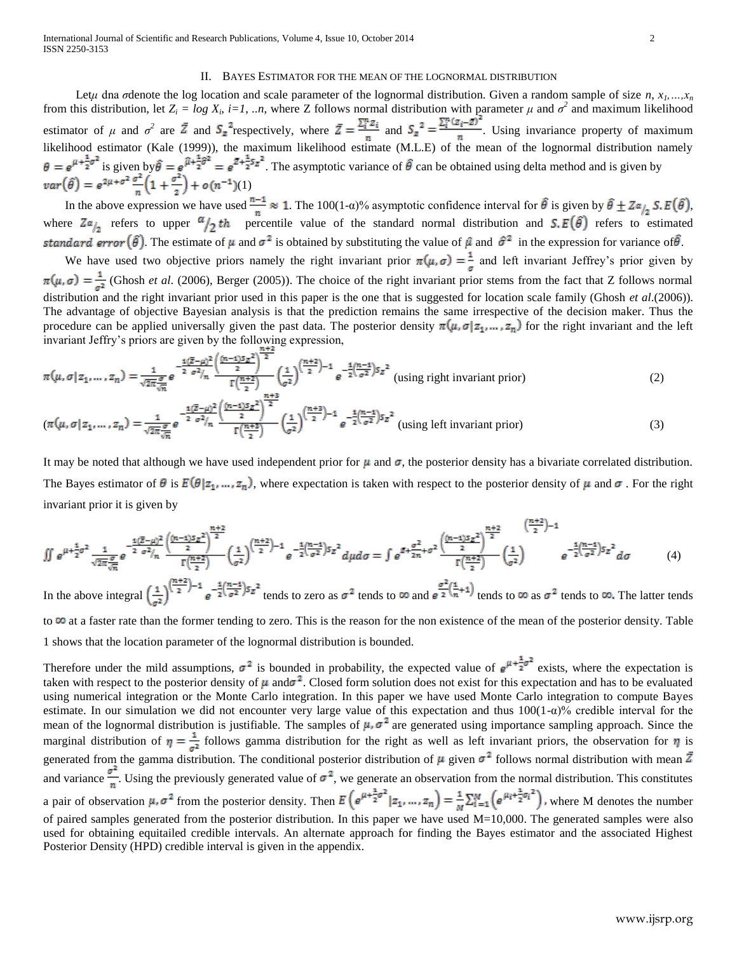## II. BAYES ESTIMATOR FOR THE MEAN OF THE LOGNORMAL DISTRIBUTION

Let*u* dna *σ*denote the log location and scale parameter of the lognormal distribution. Given a random sample of size *n*,  $x_1, ..., x_n$ from this distribution, let  $Z_i = \log X_i$ ,  $i=1, ...,$  where Z follows normal distribution with parameter  $\mu$  and  $\sigma^2$  and maximum likelihood estimator of  $\mu$  and  $\sigma^2$  are  $\bar{Z}$  and  $S_z^2$  respectively, where  $\bar{Z} = \frac{2i^2 \sigma^2}{\sigma^2}$  and  $S_z^2 = \frac{2i^2 \sigma^2}{\sigma^2}$ . Using invariance property of maximum likelihood estimator (Kale (1999)), the maximum likelihood estimate (M.L.E) of the mean of the lognormal distribution namely  $\theta = e^{\mu + \frac{1}{2}\sigma^2}$  is given by  $\hat{\theta} = e^{\hat{\mu} + \frac{1}{2}\hat{\sigma}^2} = e^{\hat{\mu} + \frac{1}{2}\sigma^2}$ . The asymptotic variance of  $\hat{\theta}$  can be obtained using delta method and is given by  $var(\hat{\theta}) = e^{2\mu + \sigma^2} \frac{\sigma^2}{n} \left(1 + \frac{\sigma^2}{2}\right) + o(n^{-1})(1)$ 

In the above expression we have used  $\frac{n-1}{n} \approx 1$ . The 100(1-α)% asymptotic confidence interval for  $\hat{\theta}$  is given by  $\hat{\theta} \pm Z\alpha_{12} S.E(\hat{\theta})$ , where  $Z\alpha_{12}$  refers to upper  $\alpha_{12}$  th percentile value of the standard normal distribution and  $S.E(\hat{\theta})$  refers to estimated standard error  $(\hat{\theta})$ . The estimate of  $\mu$  and  $\sigma^2$  is obtained by substituting the value of  $\hat{\mu}$  and  $\hat{\sigma}^2$  in the expression for variance of  $\hat{\theta}$ .

We have used two objective priors namely the right invariant prior  $\pi(\mu, \sigma) = \frac{1}{\sigma}$  and left invariant Jeffrey's prior given by  $\pi(\mu, \sigma) = \frac{1}{\sigma^2}$  (Ghosh *et al.* (2006), Berger (2005)). The choice of the right invariant prior stems from the fact that Z follows normal distribution and the right invariant prior used in this paper is the one that is suggested for location scale family (Ghosh *et al*.(2006)). The advantage of objective Bayesian analysis is that the prediction remains the same irrespective of the decision maker. Thus the procedure can be applied universally given the past data. The posterior density  $\pi(\mu, \sigma | z_1, ..., z_n)$  for the right invariant and the left invariant Jeffry's priors are given by the following expression,

$$
\pi(\mu, \sigma | z_1, \dots, z_n) = \frac{1}{\sqrt{2\pi} \frac{\sigma}{\sqrt{n}}} e^{-\frac{1}{2} \frac{(z-\mu)^2}{\sigma^2/n} \left(\frac{(n-1)5z^2}{2}\right)^2} \left(\frac{1}{\sigma^2}\right)^{\left(\frac{n+2}{2}\right) - 1} e^{-\frac{1}{2} \left(\frac{n-1}{\sigma^2}\right) 5z^2} \text{ (using right invariant prior)}
$$
\n
$$
= \sqrt{(n-1)5z^2} \left(\frac{n+2}{2}\right)^{\frac{n+3}{2}} \left(\frac{1}{\sigma^2}\right)^{\left(\frac{n+2}{2}\right) - 1} e^{-\frac{1}{2} \left(\frac{n-1}{\sigma^2}\right) 5z^2} \text{ (using right invariant prior)}
$$
\n
$$
(2)
$$

$$
(\pi(\mu,\sigma|z_1,\ldots,z_n) = \frac{1}{\sqrt{2\pi}\frac{\sigma}{\sqrt{n}}}e^{-\frac{1}{2}\frac{(\overline{z}-\mu)^2}{\sigma^2/n}\frac{\left(\frac{(n-1)5z^2}{2}\right)^2}{\Gamma\left(\frac{n+3}{2}\right)}\left(\frac{1}{\sigma^2}\right)^{\left(\frac{n+3}{2}\right)-1}e^{-\frac{1}{2}\left(\frac{n-1}{\sigma^2}\right)5z^2}
$$
(using left invariant prior) (3)

It may be noted that although we have used independent prior for  $\mu$  and  $\sigma$ , the posterior density has a bivariate correlated distribution. The Bayes estimator of  $\theta$  is  $E(\theta | z_1, ..., z_n)$ , where expectation is taken with respect to the posterior density of  $\mu$  and  $\sigma$ . For the right invariant prior it is given by

$$
\iint e^{\mu + \frac{1}{2}\sigma^2} \frac{1}{\sqrt{2\pi}\frac{\sigma}{\sqrt{n}}} e^{-\frac{1}{2}\frac{(\bar{Z}-\mu)^2}{\sigma^2/n}} \frac{\left(\frac{(n-1)5z^2}{2}\right)^{\frac{n+2}{2}}}{\Gamma\left(\frac{n+2}{2}\right)} \left(\frac{1}{\sigma^2}\right)^{\left(\frac{n+2}{2}\right)-1} e^{-\frac{1}{2}\left(\frac{n-1}{\sigma^2}\right)5z^2} d\mu d\sigma = \int e^{\bar{Z}+\frac{\sigma^2}{2n}+\sigma^2} \frac{\left(\frac{(n-1)5z^2}{2}\right)^{\frac{n+2}{2}}}{\Gamma\left(\frac{n+2}{2}\right)} \left(\frac{1}{\sigma^2}\right)^{\frac{n+2}{2}} e^{-\frac{1}{2}\left(\frac{n-1}{\sigma^2}\right)5z^2} d\sigma \tag{4}
$$

In the above integral  $\left(\frac{1}{2}\right)^{\frac{(n+2)}{2}-1}e^{-\frac{1}{2}\left(\frac{n-1}{\sigma^2}\right)s_z^2}$  tends to zero as  $\sigma^2$  tends to  $\infty$  and  $e^{\frac{\sigma^2}{2}\left(\frac{1}{n}+1\right)}$  tends to  $\infty$  as  $\sigma^2$  tends to  $\infty$ . The latter tends

to  $\infty$  at a faster rate than the former tending to zero. This is the reason for the non existence of the mean of the posterior density. Table 1 shows that the location parameter of the lognormal distribution is bounded.

Therefore under the mild assumptions,  $\sigma^2$  is bounded in probability, the expected value of  $e^{\mu + \frac{1}{2}\sigma^2}$  exists, where the expectation is taken with respect to the posterior density of  $\mu$  and  $\sigma^2$ . Closed form solution does not exist for this expectation and has to be evaluated using numerical integration or the Monte Carlo integration. In this paper we have used Monte Carlo integration to compute Bayes estimate. In our simulation we did not encounter very large value of this expectation and thus  $100(1-\alpha)\%$  credible interval for the mean of the lognormal distribution is justifiable. The samples of  $\mu$ ,  $\sigma^2$  are generated using importance sampling approach. Since the marginal distribution of  $\eta = \frac{1}{\tau}$  follows gamma distribution for the right as well as left invariant priors, the observation for  $\eta$  is generated from the gamma distribution. The conditional posterior distribution of  $\mu$  given  $\sigma^2$  follows normal distribution with mean  $\bar{Z}$ and variance  $\frac{\sigma^2}{n}$ . Using the previously generated value of  $\sigma^2$ , we generate an observation from the normal distribution. This constitutes a pair of observation  $\mu$ ,  $\sigma^2$  from the posterior density. Then  $E(e^{\mu+\frac{1}{2}\sigma^2}|z_1,\ldots,z_n) = \frac{1}{M}\sum_{i=1}^{M} (e^{\mu+\frac{1}{2}\sigma_i^2})$ , where M denotes the number of paired samples generated from the posterior distribution. In this paper we have used M=10,000. The generated samples were also used for obtaining equitailed credible intervals. An alternate approach for finding the Bayes estimator and the associated Highest Posterior Density (HPD) credible interval is given in the appendix.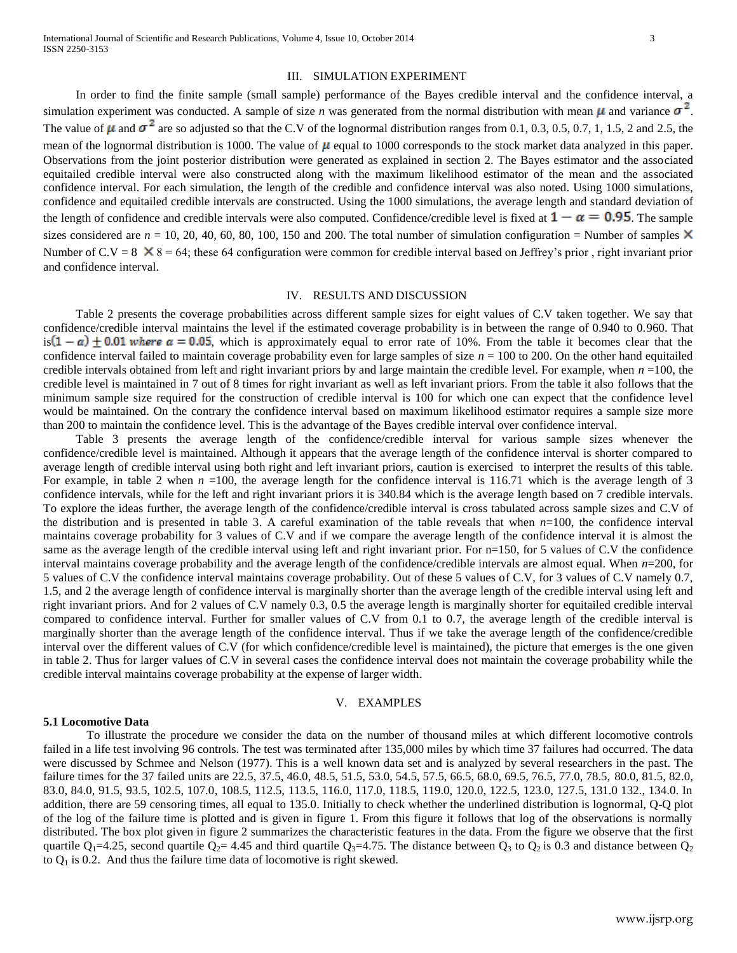## III. SIMULATION EXPERIMENT

In order to find the finite sample (small sample) performance of the Bayes credible interval and the confidence interval, a simulation experiment was conducted. A sample of size *n* was generated from the normal distribution with mean  $\mu$  and variance  $\sigma^2$ . The value of  $\mu$  and  $\sigma^2$  are so adjusted so that the C.V of the lognormal distribution ranges from 0.1, 0.3, 0.5, 0.7, 1, 1.5, 2 and 2.5, the mean of the lognormal distribution is 1000. The value of  $\mu$  equal to 1000 corresponds to the stock market data analyzed in this paper. Observations from the joint posterior distribution were generated as explained in section 2. The Bayes estimator and the associated equitailed credible interval were also constructed along with the maximum likelihood estimator of the mean and the associated confidence interval. For each simulation, the length of the credible and confidence interval was also noted. Using 1000 simulations, confidence and equitailed credible intervals are constructed. Using the 1000 simulations, the average length and standard deviation of the length of confidence and credible intervals were also computed. Confidence/credible level is fixed at  $1 - \alpha = 0.95$ . The sample sizes considered are  $n = 10, 20, 40, 60, 80, 100, 150$  and 200. The total number of simulation configuration = Number of samples  $\times$ Number of C.V = 8  $\times$  8 = 64; these 64 configuration were common for credible interval based on Jeffrey's prior, right invariant prior and confidence interval.

#### IV. RESULTS AND DISCUSSION

Table 2 presents the coverage probabilities across different sample sizes for eight values of C.V taken together. We say that confidence/credible interval maintains the level if the estimated coverage probability is in between the range of 0.940 to 0.960. That  $is(1 - \alpha) \pm 0.01$  where  $\alpha = 0.05$ , which is approximately equal to error rate of 10%. From the table it becomes clear that the confidence interval failed to maintain coverage probability even for large samples of size  $n = 100$  to 200. On the other hand equitailed credible intervals obtained from left and right invariant priors by and large maintain the credible level. For example, when  $n = 100$ , the credible level is maintained in 7 out of 8 times for right invariant as well as left invariant priors. From the table it also follows that the minimum sample size required for the construction of credible interval is 100 for which one can expect that the confidence level would be maintained. On the contrary the confidence interval based on maximum likelihood estimator requires a sample size more than 200 to maintain the confidence level. This is the advantage of the Bayes credible interval over confidence interval.

Table 3 presents the average length of the confidence/credible interval for various sample sizes whenever the confidence/credible level is maintained. Although it appears that the average length of the confidence interval is shorter compared to average length of credible interval using both right and left invariant priors, caution is exercised to interpret the results of this table. For example, in table 2 when  $n = 100$ , the average length for the confidence interval is 116.71 which is the average length of 3 confidence intervals, while for the left and right invariant priors it is 340.84 which is the average length based on 7 credible intervals. To explore the ideas further, the average length of the confidence/credible interval is cross tabulated across sample sizes and C.V of the distribution and is presented in table 3. A careful examination of the table reveals that when *n*=100, the confidence interval maintains coverage probability for 3 values of C.V and if we compare the average length of the confidence interval it is almost the same as the average length of the credible interval using left and right invariant prior. For n=150, for 5 values of C.V the confidence interval maintains coverage probability and the average length of the confidence/credible intervals are almost equal. When *n*=200, for 5 values of C.V the confidence interval maintains coverage probability. Out of these 5 values of C.V, for 3 values of C.V namely 0.7, 1.5, and 2 the average length of confidence interval is marginally shorter than the average length of the credible interval using left and right invariant priors. And for 2 values of C.V namely 0.3, 0.5 the average length is marginally shorter for equitailed credible interval compared to confidence interval. Further for smaller values of C.V from 0.1 to 0.7, the average length of the credible interval is marginally shorter than the average length of the confidence interval. Thus if we take the average length of the confidence/credible interval over the different values of C.V (for which confidence/credible level is maintained), the picture that emerges is the one given in table 2. Thus for larger values of C.V in several cases the confidence interval does not maintain the coverage probability while the credible interval maintains coverage probability at the expense of larger width.

## V. EXAMPLES

## **5.1 Locomotive Data**

To illustrate the procedure we consider the data on the number of thousand miles at which different locomotive controls failed in a life test involving 96 controls. The test was terminated after 135,000 miles by which time 37 failures had occurred. The data were discussed by Schmee and Nelson (1977). This is a well known data set and is analyzed by several researchers in the past. The failure times for the 37 failed units are 22.5, 37.5, 46.0, 48.5, 51.5, 53.0, 54.5, 57.5, 66.5, 68.0, 69.5, 76.5, 77.0, 78.5, 80.0, 81.5, 82.0, 83.0, 84.0, 91.5, 93.5, 102.5, 107.0, 108.5, 112.5, 113.5, 116.0, 117.0, 118.5, 119.0, 120.0, 122.5, 123.0, 127.5, 131.0 132., 134.0. In addition, there are 59 censoring times, all equal to 135.0. Initially to check whether the underlined distribution is lognormal, Q-Q plot of the log of the failure time is plotted and is given in figure 1. From this figure it follows that log of the observations is normally distributed. The box plot given in figure 2 summarizes the characteristic features in the data. From the figure we observe that the first quartile Q<sub>1</sub>=4.25, second quartile Q<sub>2</sub>= 4.45 and third quartile Q<sub>3</sub>=4.75. The distance between Q<sub>3</sub> to Q<sub>2</sub> is 0.3 and distance between Q<sub>2</sub> to  $Q_1$  is 0.2. And thus the failure time data of locomotive is right skewed.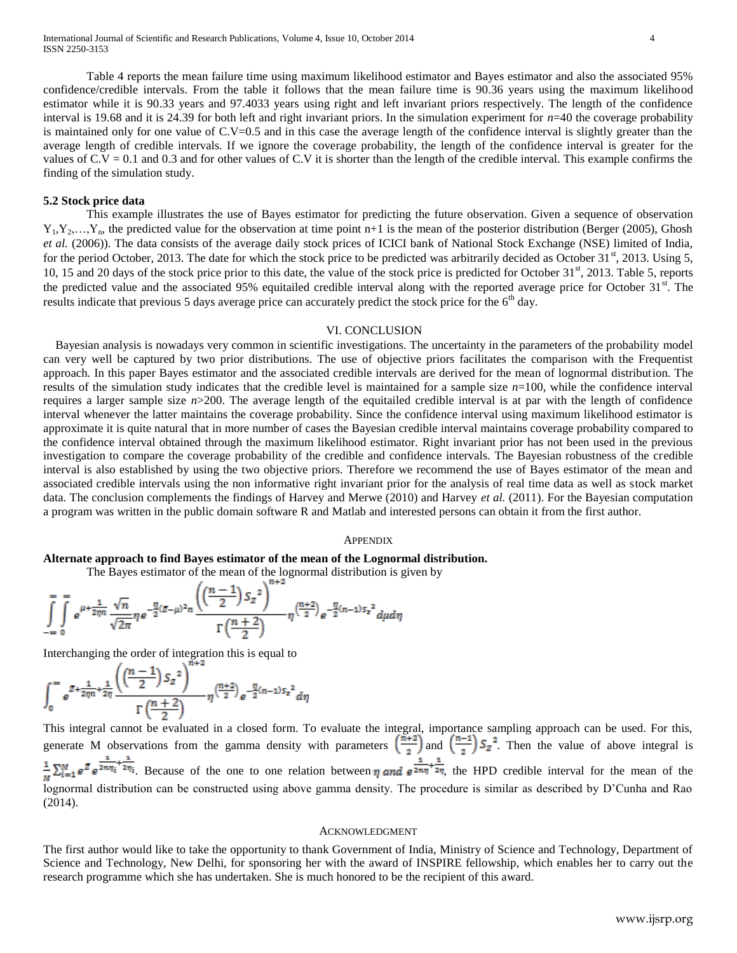Table 4 reports the mean failure time using maximum likelihood estimator and Bayes estimator and also the associated 95% confidence/credible intervals. From the table it follows that the mean failure time is 90.36 years using the maximum likelihood estimator while it is 90.33 years and 97.4033 years using right and left invariant priors respectively. The length of the confidence interval is 19.68 and it is 24.39 for both left and right invariant priors. In the simulation experiment for *n*=40 the coverage probability is maintained only for one value of C.V=0.5 and in this case the average length of the confidence interval is slightly greater than the average length of credible intervals. If we ignore the coverage probability, the length of the confidence interval is greater for the values of  $C.V = 0.1$  and 0.3 and for other values of C.V it is shorter than the length of the credible interval. This example confirms the finding of the simulation study.

#### **5.2 Stock price data**

This example illustrates the use of Bayes estimator for predicting the future observation. Given a sequence of observation  $Y_1, Y_2, \ldots, Y_n$ , the predicted value for the observation at time point n+1 is the mean of the posterior distribution (Berger (2005), Ghosh *et al.* (2006)). The data consists of the average daily stock prices of ICICI bank of National Stock Exchange (NSE) limited of India, for the period October, 2013. The date for which the stock price to be predicted was arbitrarily decided as October 31 $<sup>st</sup>$ , 2013. Using 5,</sup> 10, 15 and 20 days of the stock price prior to this date, the value of the stock price is predicted for October 31<sup>st</sup>, 2013. Table 5, reports the predicted value and the associated 95% equitailed credible interval along with the reported average price for October 31<sup>st</sup>. The results indicate that previous 5 days average price can accurately predict the stock price for the 6<sup>th</sup> day.

## VI. CONCLUSION

Bayesian analysis is nowadays very common in scientific investigations. The uncertainty in the parameters of the probability model can very well be captured by two prior distributions. The use of objective priors facilitates the comparison with the Frequentist approach. In this paper Bayes estimator and the associated credible intervals are derived for the mean of lognormal distribution. The results of the simulation study indicates that the credible level is maintained for a sample size *n*=100, while the confidence interval requires a larger sample size *n*>200. The average length of the equitailed credible interval is at par with the length of confidence interval whenever the latter maintains the coverage probability. Since the confidence interval using maximum likelihood estimator is approximate it is quite natural that in more number of cases the Bayesian credible interval maintains coverage probability compared to the confidence interval obtained through the maximum likelihood estimator. Right invariant prior has not been used in the previous investigation to compare the coverage probability of the credible and confidence intervals. The Bayesian robustness of the credible interval is also established by using the two objective priors. Therefore we recommend the use of Bayes estimator of the mean and associated credible intervals using the non informative right invariant prior for the analysis of real time data as well as stock market data. The conclusion complements the findings of Harvey and Merwe (2010) and Harvey *et al.* (2011). For the Bayesian computation a program was written in the public domain software R and Matlab and interested persons can obtain it from the first author.

## **APPENDIX**

#### **Alternate approach to find Bayes estimator of the mean of the Lognormal distribution.**

The Bayes estimator of the mean of the lognormal distribution is given by

$$
\int_{-\infty}^{\infty} \int_{0}^{\infty} e^{\mu + \frac{1}{2\eta n}} \frac{\sqrt{n}}{\sqrt{2\pi}} \eta e^{-\frac{\eta}{2}(z-\mu)^2 n} \frac{\left(\left(\frac{n-1}{2}\right)S_z^2\right)^{n+2}}{\Gamma\left(\frac{n+2}{2}\right)} \eta^{\frac{(n+2)}{2}} e^{-\frac{\eta}{2}(n-1)S_z^2} d\mu d\eta
$$

Interchanging the order of integration this is equal to

$$
\int_0^{\infty} e^{z + \frac{1}{2\eta n} + \frac{1}{2\eta}} \frac{\left(\frac{n-1}{2}\right) S_z^{2}}{\Gamma\left(\frac{n+2}{2}\right)} \eta^{\left(\frac{n+2}{2}\right)} e^{-\frac{\eta}{2}(n-1) S_z^{2}} d\eta
$$

This integral cannot be evaluated in a closed form. To evaluate the integral, importance sampling approach can be used. For this, generate M observations from the gamma density with parameters  $\left(\frac{n-1}{n}\right)$  and  $\left(\frac{n-1}{n}\right)S_z^2$ . Then the value of above integral is  $\frac{1}{M}\sum_{i=1}^{M} e^{\frac{1}{2}n\pi i} e^{\frac{1}{2n\pi i} + \frac{1}{2n\pi i}}$  Because of the one to one relation between  $\eta$  and  $e^{\frac{1}{2n\pi i} + \frac{1}{2n\pi i}}$ , the HPD credible interval for the mean of the lognormal distribution can be constructed using above gamma density. The procedure is similar as described by D'Cunha and Rao (2014).

#### ACKNOWLEDGMENT

The first author would like to take the opportunity to thank Government of India, Ministry of Science and Technology, Department of Science and Technology, New Delhi, for sponsoring her with the award of INSPIRE fellowship, which enables her to carry out the research programme which she has undertaken. She is much honored to be the recipient of this award.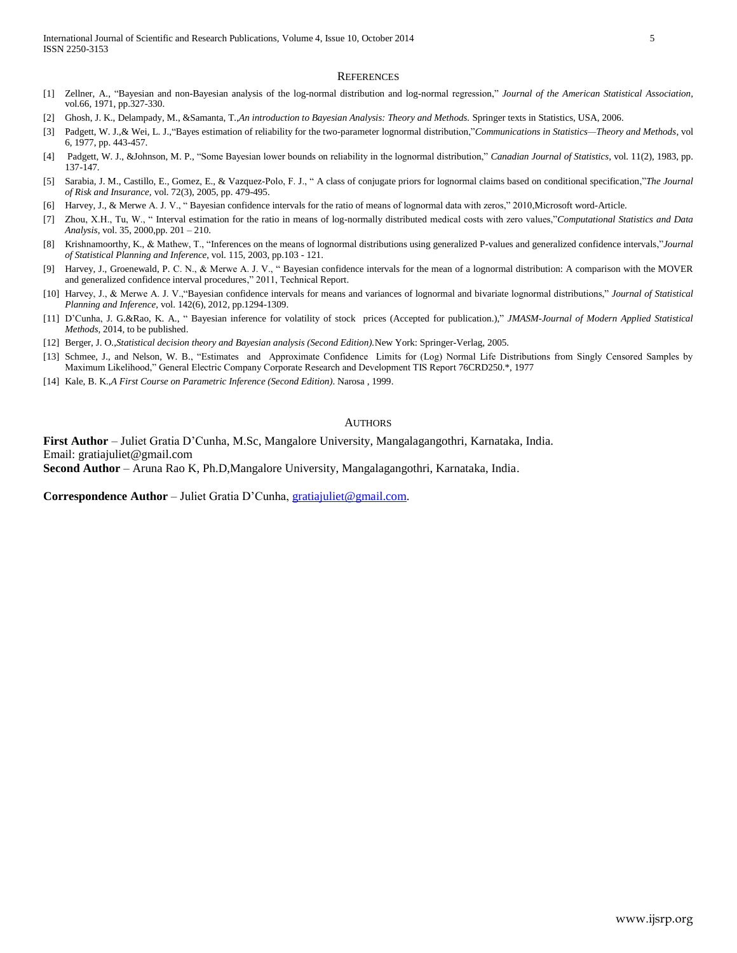#### **REFERENCES**

- [1] Zellner, A., "Bayesian and non-Bayesian analysis of the log-normal distribution and log-normal regression," *Journal of the American Statistical Association,*  vol.66, 1971, pp.327-330.
- [2] Ghosh, J. K., Delampady, M., &Samanta, T.,*An introduction to Bayesian Analysis: Theory and Methods.* Springer texts in Statistics, USA, 2006.
- [3] Padgett, W. J.,& Wei, L. J.,"Bayes estimation of reliability for the two-parameter lognormal distribution,"*Communications in Statistics—Theory and Methods*, vol 6, 1977, pp. 443-457.
- [4] Padgett, W. J., &Johnson, M. P., "Some Bayesian lower bounds on reliability in the lognormal distribution," *Canadian Journal of Statistics,* vol. 11(2), 1983, pp. 137-147.
- [5] Sarabia, J. M., Castillo, E., Gomez, E., & Vazquez-Polo, F. J., " A class of conjugate priors for lognormal claims based on conditional specification,"*The Journal of Risk and Insurance,* vol. 72(3), 2005, pp. 479-495.
- [6] Harvey, J., & Merwe A. J. V., " Bayesian confidence intervals for the ratio of means of lognormal data with zeros," 2010,Microsoft word-Article.
- [7] Zhou, X.H., Tu, W., " Interval estimation for the ratio in means of log-normally distributed medical costs with zero values,"*Computational Statistics and Data Analysis*, vol. 35, 2000,pp. 201 – 210.
- [8] Krishnamoorthy, K., & Mathew, T., "Inferences on the means of lognormal distributions using generalized P-values and generalized confidence intervals,"*Journal of Statistical Planning and Inference*, vol. 115, 2003, pp.103 - 121.
- [9] Harvey, J., Groenewald, P. C. N., & Merwe A. J. V., " Bayesian confidence intervals for the mean of a lognormal distribution: A comparison with the MOVER and generalized confidence interval procedures," 2011, Technical Report.
- [10] Harvey, J., & Merwe A. J. V.,"Bayesian confidence intervals for means and variances of lognormal and bivariate lognormal distributions," *Journal of Statistical Planning and Inference,* vol. 142(6), 2012, pp.1294-1309.
- [11] D'Cunha, J. G.&Rao, K. A., " Bayesian inference for volatility of stock prices (Accepted for publication.)," *JMASM*-*Journal of Modern Applied Statistical Methods,* 2014, to be published.
- [12] Berger, J. O.,*Statistical decision theory and Bayesian analysis (Second Edition).*New York: Springer-Verlag, 2005.
- [13] Schmee, J., and Nelson, W. B., "Estimates and Approximate Confidence Limits for (Log) Normal Life Distributions from Singly Censored Samples by Maximum Likelihood," General Electric Company Corporate Research and Development TIS Report 76CRD250.\*, 1977
- [14] Kale, B. K.,*A First Course on Parametric Inference (Second Edition)*. Narosa , 1999.

## **AUTHORS**

**First Author** – Juliet Gratia D'Cunha, M.Sc, Mangalore University, Mangalagangothri, Karnataka, India. Email: gratiajuliet@gmail.com

**Second Author** – Aruna Rao K, Ph.D,Mangalore University, Mangalagangothri, Karnataka, India.

**Correspondence Author** – Juliet Gratia D'Cunha, *gratiajuliet* @gmail.com.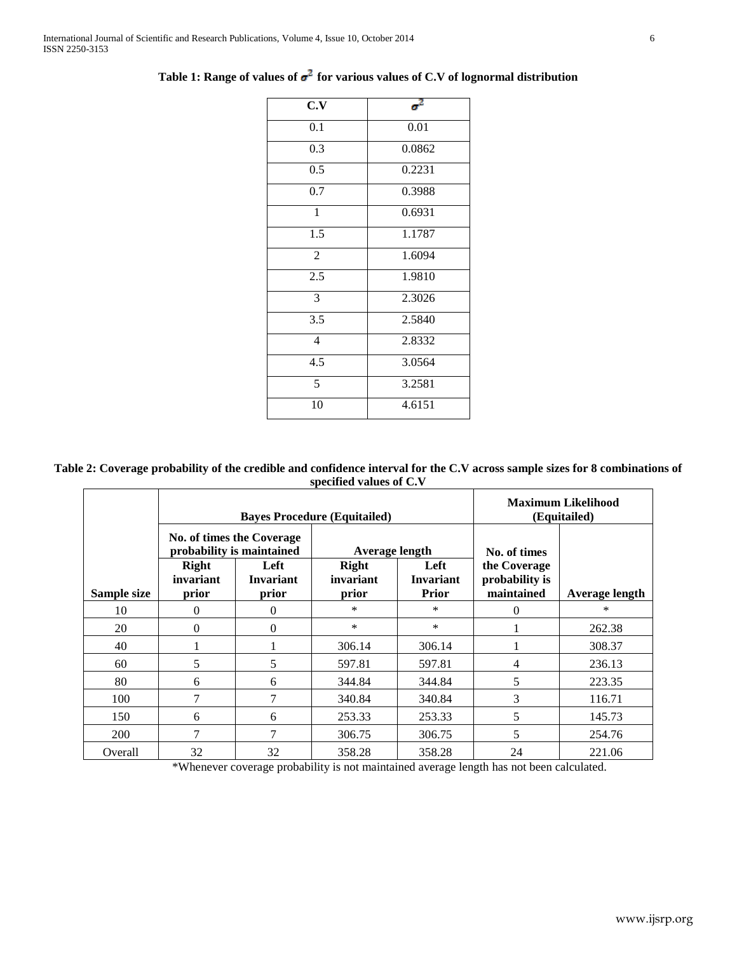| C.V                     | $\sigma^2$ |
|-------------------------|------------|
| 0.1                     | 0.01       |
| 0.3                     | 0.0862     |
| $0.\overline{5}$        | 0.2231     |
| 0.7                     | 0.3988     |
| $\mathbf{1}$            | 0.6931     |
| 1.5                     | 1.1787     |
| $\overline{2}$          | 1.6094     |
| 2.5                     | 1.9810     |
| 3                       | 2.3026     |
| 3.5                     | 2.5840     |
| $\overline{\mathbf{4}}$ | 2.8332     |
| 4.5                     | 3.0564     |
| 5                       | 3.2581     |
| 10                      | 4.6151     |

| Table 1: Range of values of $\sigma^2$ for various values of C.V of lognormal distribution |  |
|--------------------------------------------------------------------------------------------|--|
|--------------------------------------------------------------------------------------------|--|

**Table 2: Coverage probability of the credible and confidence interval for the C.V across sample sizes for 8 combinations of specified values of C.V**

|             | <b>Bayes Procedure (Equitailed)</b>                    |                            |                             |                                   | <b>Maximum Likelihood</b><br>(Equitailed)    |                |  |
|-------------|--------------------------------------------------------|----------------------------|-----------------------------|-----------------------------------|----------------------------------------------|----------------|--|
|             | No. of times the Coverage<br>probability is maintained |                            | Average length              |                                   | No. of times                                 |                |  |
| Sample size | <b>Right</b><br>invariant<br>prior                     | Left<br>Invariant<br>prior | Right<br>invariant<br>prior | Left<br>Invariant<br><b>Prior</b> | the Coverage<br>probability is<br>maintained | Average length |  |
| 10          | $\theta$                                               | $\mathbf{0}$               | *                           | *                                 | 0                                            | *              |  |
| 20          | $\theta$                                               | $\Omega$                   | *                           | *                                 |                                              | 262.38         |  |
| 40          | 1                                                      |                            | 306.14                      | 306.14                            |                                              | 308.37         |  |
| 60          | 5                                                      | 5                          | 597.81                      | 597.81                            | 4                                            | 236.13         |  |
| 80          | 6                                                      | 6                          | 344.84                      | 344.84                            | 5                                            | 223.35         |  |
| 100         | $\mathcal{I}$                                          | $\overline{7}$             | 340.84                      | 340.84                            | 3                                            | 116.71         |  |
| 150         | 6                                                      | 6                          | 253.33                      | 253.33                            | 5                                            | 145.73         |  |
| 200         | $\overline{7}$                                         | $\overline{7}$             | 306.75                      | 306.75                            | 5                                            | 254.76         |  |
| Overall     | 32                                                     | 32                         | 358.28                      | 358.28                            | 24                                           | 221.06         |  |

\*Whenever coverage probability is not maintained average length has not been calculated.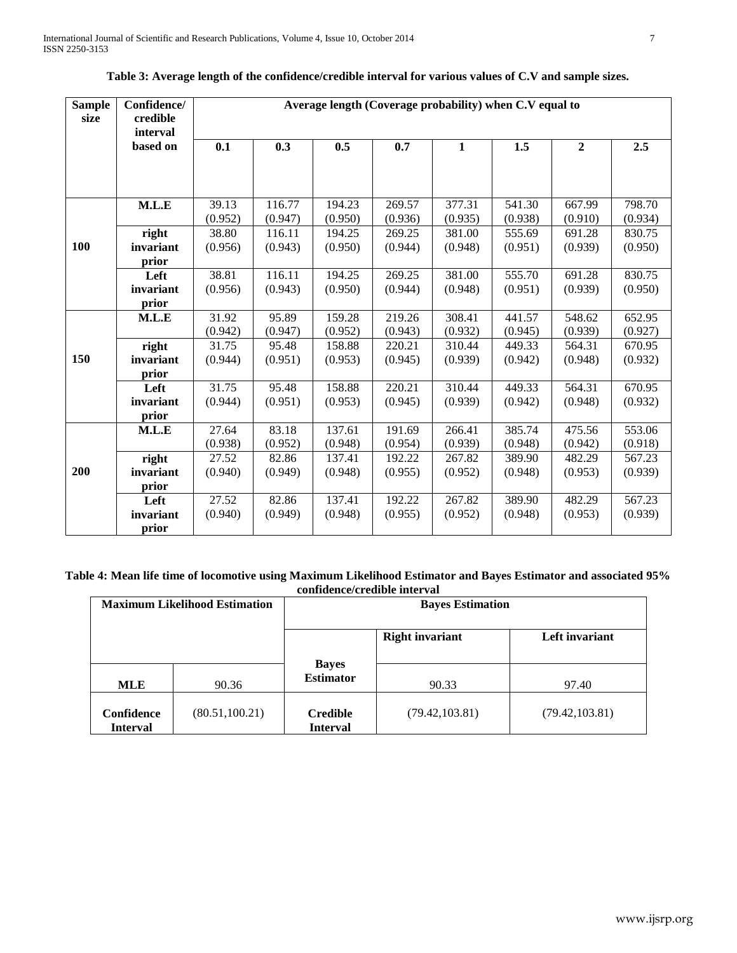| <b>Sample</b><br>size | Confidence/<br>credible<br>interval | Average length (Coverage probability) when C.V equal to |         |         |                     |              |         |                |         |
|-----------------------|-------------------------------------|---------------------------------------------------------|---------|---------|---------------------|--------------|---------|----------------|---------|
|                       | based on                            | 0.1                                                     | 0.3     | 0.5     | 0.7                 | $\mathbf{1}$ | 1.5     | $\overline{2}$ | 2.5     |
|                       |                                     |                                                         |         |         |                     |              |         |                |         |
|                       | M.L.E                               | 39.13                                                   | 116.77  | 194.23  | 269.57              | 377.31       | 541.30  | 667.99         | 798.70  |
|                       |                                     | (0.952)                                                 | (0.947) | (0.950) | (0.936)             | (0.935)      | (0.938) | (0.910)        | (0.934) |
|                       | right                               | 38.80                                                   | 116.11  | 194.25  | 269.25              | 381.00       | 555.69  | 691.28         | 830.75  |
| 100                   | invariant                           | (0.956)                                                 | (0.943) | (0.950) | (0.944)             | (0.948)      | (0.951) | (0.939)        | (0.950) |
|                       | prior                               |                                                         |         |         |                     |              |         |                |         |
|                       | Left                                | 38.81                                                   | 116.11  | 194.25  | 269.25              | 381.00       | 555.70  | 691.28         | 830.75  |
|                       | invariant                           | (0.956)                                                 | (0.943) | (0.950) | (0.944)             | (0.948)      | (0.951) | (0.939)        | (0.950) |
|                       | prior                               |                                                         |         |         |                     |              |         |                |         |
|                       | M.L.E                               | 31.92                                                   | 95.89   | 159.28  | 219.26              | 308.41       | 441.57  | 548.62         | 652.95  |
|                       |                                     | (0.942)                                                 | (0.947) | (0.952) | (0.943)             | (0.932)      | (0.945) | (0.939)        | (0.927) |
|                       | right                               | 31.75                                                   | 95.48   | 158.88  | 220.21              | 310.44       | 449.33  | 564.31         | 670.95  |
| 150                   | invariant                           | (0.944)                                                 | (0.951) | (0.953) | (0.945)             | (0.939)      | (0.942) | (0.948)        | (0.932) |
|                       | prior                               |                                                         |         |         |                     |              |         |                |         |
|                       | Left                                | 31.75                                                   | 95.48   | 158.88  | $\overline{220.21}$ | 310.44       | 449.33  | 564.31         | 670.95  |
|                       | invariant                           | (0.944)                                                 | (0.951) | (0.953) | (0.945)             | (0.939)      | (0.942) | (0.948)        | (0.932) |
|                       | prior                               |                                                         |         |         |                     |              |         |                |         |
|                       | M.L.E                               | 27.64                                                   | 83.18   | 137.61  | 191.69              | 266.41       | 385.74  | 475.56         | 553.06  |
|                       |                                     | (0.938)                                                 | (0.952) | (0.948) | (0.954)             | (0.939)      | (0.948) | (0.942)        | (0.918) |
|                       | right                               | 27.52                                                   | 82.86   | 137.41  | 192.22              | 267.82       | 389.90  | 482.29         | 567.23  |
| 200                   | invariant                           | (0.940)                                                 | (0.949) | (0.948) | (0.955)             | (0.952)      | (0.948) | (0.953)        | (0.939) |
|                       | prior                               |                                                         |         |         |                     |              |         |                |         |
|                       | Left                                | 27.52                                                   | 82.86   | 137.41  | 192.22              | 267.82       | 389.90  | 482.29         | 567.23  |
|                       | invariant                           | (0.940)                                                 | (0.949) | (0.948) | (0.955)             | (0.952)      | (0.948) | (0.953)        | (0.939) |
|                       | prior                               |                                                         |         |         |                     |              |         |                |         |

## **Table 3: Average length of the confidence/credible interval for various values of C.V and sample sizes.**

**Table 4: Mean life time of locomotive using Maximum Likelihood Estimator and Bayes Estimator and associated 95% confidence/credible interval**

|                               | <b>Maximum Likelihood Estimation</b> | <b>Bayes Estimation</b>            |                        |                 |  |
|-------------------------------|--------------------------------------|------------------------------------|------------------------|-----------------|--|
|                               |                                      |                                    | <b>Right invariant</b> | Left invariant  |  |
|                               |                                      | <b>Bayes</b>                       |                        |                 |  |
| <b>MLE</b>                    | 90.36                                | <b>Estimator</b>                   | 90.33                  | 97.40           |  |
| Confidence<br><b>Interval</b> | (80.51, 100.21)                      | <b>Credible</b><br><b>Interval</b> | (79.42, 103.81)        | (79.42, 103.81) |  |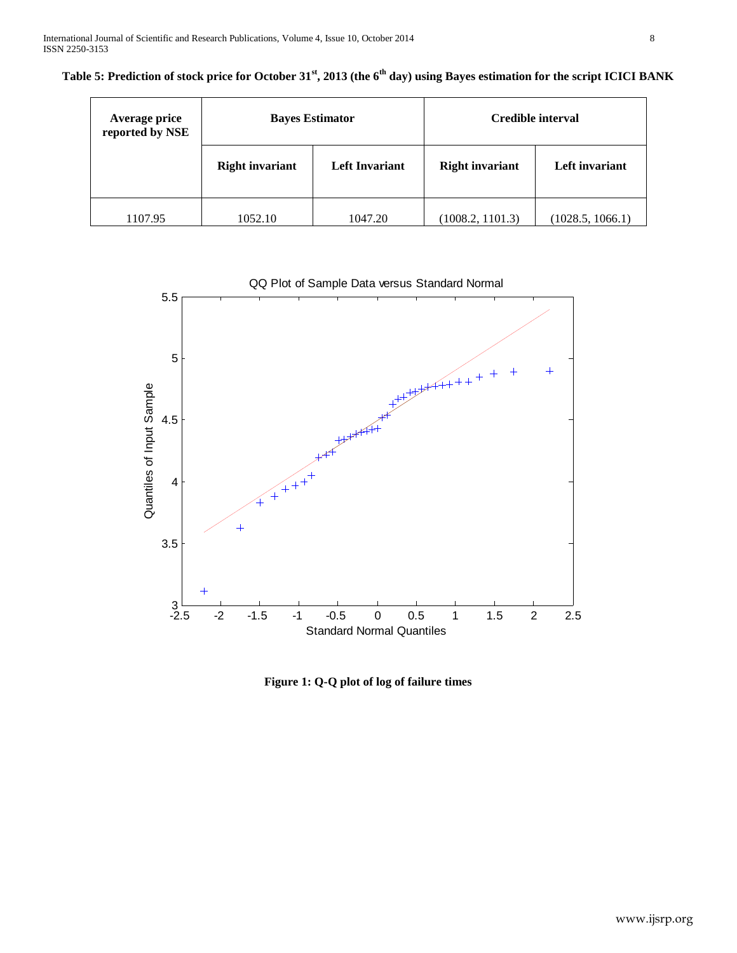| Table 5: Prediction of stock price for October 31 <sup>st</sup> , 2013 (the 6 <sup>th</sup> day) using Bayes estimation for the script ICICI BANK |  |  |  |
|---------------------------------------------------------------------------------------------------------------------------------------------------|--|--|--|
|                                                                                                                                                   |  |  |  |

| <b>Average price</b><br>reported by NSE | <b>Bayes Estimator</b> |                       | Credible interval      |                  |  |
|-----------------------------------------|------------------------|-----------------------|------------------------|------------------|--|
|                                         | <b>Right invariant</b> | <b>Left Invariant</b> | <b>Right invariant</b> | Left invariant   |  |
| 1107.95                                 | 1052.10                | 1047.20               | (1008.2, 1101.3)       | (1028.5, 1066.1) |  |



**Figure 1: Q-Q plot of log of failure times**